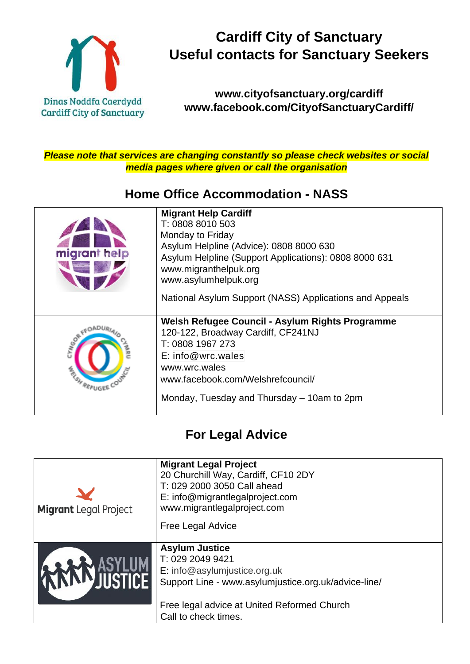

## **Cardiff City of Sanctuary Useful contacts for Sanctuary Seekers**

#### **[www.cityofsanctuary.org/cardiff](about:blank) [www.facebook.com/CityofSanctuaryCardiff/](about:blank)**

*Please note that services are changing constantly so please check websites or social media pages where given or call the organisation*

#### **[Home Office Accommodation -](about:blank) NAS[S](about:blank)**

| migrant help                                        | <b>Migrant Help Cardiff</b><br>T: 0808 8010 503<br>Monday to Friday<br>Asylum Helpline (Advice): 0808 8000 630<br>Asylum Helpline (Support Applications): 0808 8000 631<br>www.migranthelpuk.org<br>www.asylumhelpuk.org<br>National Asylum Support (NASS) Applications and Appeals |
|-----------------------------------------------------|-------------------------------------------------------------------------------------------------------------------------------------------------------------------------------------------------------------------------------------------------------------------------------------|
| CYNGO <sub>®</sub><br><b>RANDA</b><br><b>RFUGEE</b> | Welsh Refugee Council - Asylum Rights Programme<br>120-122, Broadway Cardiff, CF241NJ<br>T: 0808 1967 273<br>$E:$ info@wrc.wales<br>www.wrc.wales<br>www.facebook.com/Welshrefcouncil/<br>Monday, Tuesday and Thursday – 10am to 2pm                                                |

#### **For Legal Advice**

| <b>Migrant</b> Legal Project | <b>Migrant Legal Project</b><br>20 Churchill Way, Cardiff, CF10 2DY<br>T: 029 2000 3050 Call ahead<br>E: info@migrantlegalproject.com<br>www.migrantlegalproject.com<br><b>Free Legal Advice</b>         |
|------------------------------|----------------------------------------------------------------------------------------------------------------------------------------------------------------------------------------------------------|
|                              | <b>Asylum Justice</b><br>T: 029 2049 9421<br>E: info@asylumjustice.org.uk<br>Support Line - www.asylumjustice.org.uk/advice-line/<br>Free legal advice at United Reformed Church<br>Call to check times. |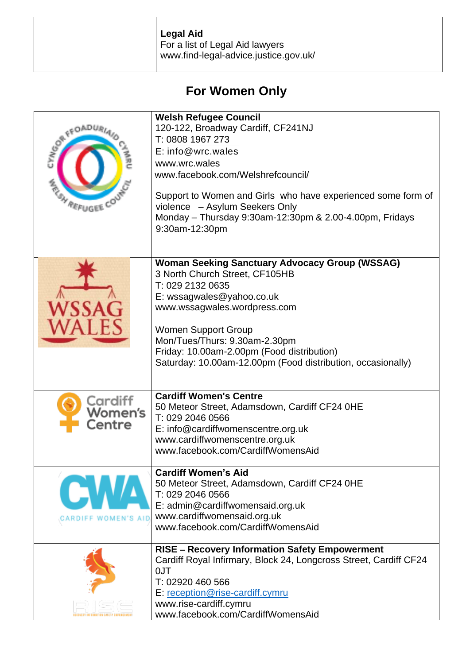| Legal Aid<br>For a list of Legal Aid lawyers<br>www.find-legal-advice.justice.gov.uk/ |
|---------------------------------------------------------------------------------------|
|                                                                                       |

### **For Women Only**

| <b>REFUGE</b>                       | <b>Welsh Refugee Council</b><br>120-122, Broadway Cardiff, CF241NJ<br>T: 0808 1967 273<br>$E:$ info@wrc.wales<br>www.wrc.wales<br>www.facebook.com/Welshrefcouncil/<br>Support to Women and Girls who have experienced some form of<br>violence - Asylum Seekers Only<br>Monday - Thursday 9:30am-12:30pm & 2.00-4.00pm, Fridays<br>9:30am-12:30pm   |
|-------------------------------------|------------------------------------------------------------------------------------------------------------------------------------------------------------------------------------------------------------------------------------------------------------------------------------------------------------------------------------------------------|
|                                     | <b>Woman Seeking Sanctuary Advocacy Group (WSSAG)</b><br>3 North Church Street, CF105HB<br>T: 029 2132 0635<br>E: wssagwales@yahoo.co.uk<br>www.wssagwales.wordpress.com<br><b>Women Support Group</b><br>Mon/Tues/Thurs: 9.30am-2.30pm<br>Friday: 10.00am-2.00pm (Food distribution)<br>Saturday: 10.00am-12.00pm (Food distribution, occasionally) |
| Cardiff<br><b>Women's</b><br>Ientre | <b>Cardiff Women's Centre</b><br>50 Meteor Street, Adamsdown, Cardiff CF24 0HE<br>T: 029 2046 0566<br>E: info@cardiffwomenscentre.org.uk<br>www.cardiffwomenscentre.org.uk<br>www.facebook.com/CardiffWomensAid                                                                                                                                      |
|                                     | <b>Cardiff Women's Aid</b><br>50 Meteor Street, Adamsdown, Cardiff CF24 0HE<br>T: 029 2046 0566<br>E: admin@cardiffwomensaid.org.uk<br>www.cardiffwomensaid.org.uk<br>www.facebook.com/CardiffWomensAid                                                                                                                                              |
|                                     | <b>RISE - Recovery Information Safety Empowerment</b><br>Cardiff Royal Infirmary, Block 24, Longcross Street, Cardiff CF24<br>0JT<br>T: 02920 460 566<br>E: reception@rise-cardiff.cymru<br>www.rise-cardiff.cymru<br>www.facebook.com/CardiffWomensAid                                                                                              |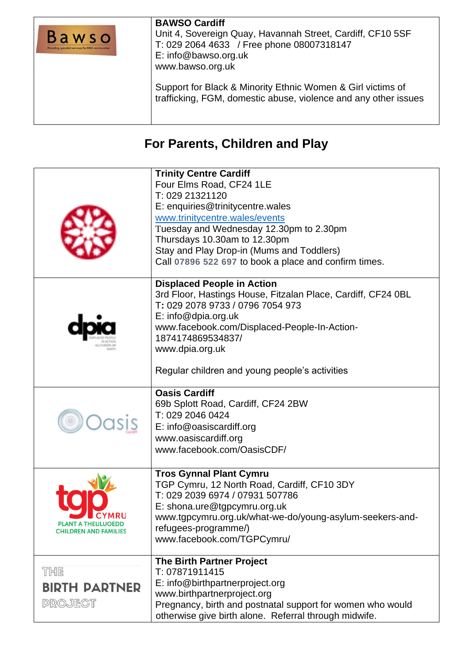| Bawso<br>Providing specialist services for BME communities | <b>BAWSO Cardiff</b><br>Unit 4, Sovereign Quay, Havannah Street, Cardiff, CF10 5SF<br>T: 029 2064 4633 / Free phone 08007318147<br>E: info@bawso.org.uk<br>www.bawso.org.uk |
|------------------------------------------------------------|-----------------------------------------------------------------------------------------------------------------------------------------------------------------------------|
|                                                            | Support for Black & Minority Ethnic Women & Girl victims of<br>trafficking, FGM, domestic abuse, violence and any other issues                                              |

### **For Parents, Children and Play**

|                                                                   | <b>Trinity Centre Cardiff</b><br>Four Elms Road, CF24 1LE<br>T: 029 21321120<br>E: enquiries@trinitycentre.wales<br>www.trinitycentre.wales/events<br>Tuesday and Wednesday 12.30pm to 2.30pm<br>Thursdays 10.30am to 12.30pm<br>Stay and Play Drop-in (Mums and Toddlers)<br>Call 07896 522 697 to book a place and confirm times. |
|-------------------------------------------------------------------|-------------------------------------------------------------------------------------------------------------------------------------------------------------------------------------------------------------------------------------------------------------------------------------------------------------------------------------|
|                                                                   | <b>Displaced People in Action</b><br>3rd Floor, Hastings House, Fitzalan Place, Cardiff, CF24 0BL<br>T: 029 2078 9733 / 0796 7054 973<br>$E: \mathsf{info@dpia.org.uk}$<br>www.facebook.com/Displaced-People-In-Action-<br>1874174869534837/<br>www.dpia.org.uk<br>Regular children and young people's activities                   |
|                                                                   | <b>Oasis Cardiff</b><br>69b Splott Road, Cardiff, CF24 2BW<br>T: 029 2046 0424<br>E: info@oasiscardiff.org<br>www.oasiscardiff.org<br>www.facebook.com/OasisCDF/                                                                                                                                                                    |
| YMRU<br><b>PLANT A THEULUOEDD</b><br><b>CHILDREN AND FAMILIES</b> | <b>Tros Gynnal Plant Cymru</b><br>TGP Cymru, 12 North Road, Cardiff, CF10 3DY<br>T: 029 2039 6974 / 07931 507786<br>E: shona.ure@tgpcymru.org.uk<br>www.tgpcymru.org.uk/what-we-do/young-asylum-seekers-and-<br>refugees-programme/)<br>www.facebook.com/TGPCymru/                                                                  |
| THE<br><b>BIRTH PARTNER</b><br><b>PROJECT</b>                     | <b>The Birth Partner Project</b><br>T: 07871911415<br>E: info@birthpartnerproject.org<br>www.birthpartnerproject.org<br>Pregnancy, birth and postnatal support for women who would<br>otherwise give birth alone. Referral through midwife.                                                                                         |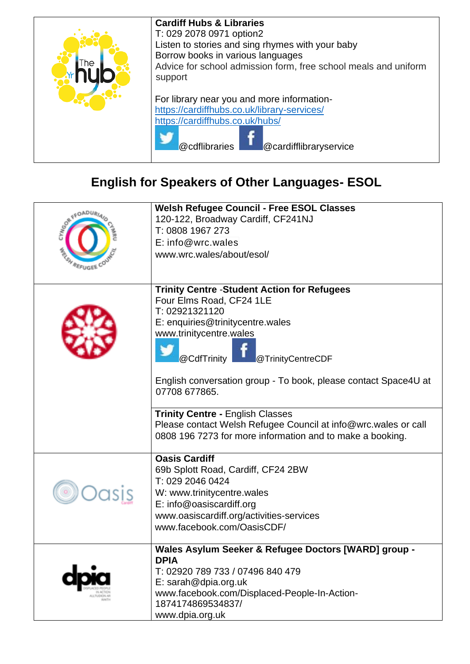| ٦e | <b>Cardiff Hubs &amp; Libraries</b><br>T: 029 2078 0971 option2<br>Listen to stories and sing rhymes with your baby<br>Borrow books in various languages<br>Advice for school admission form, free school meals and uniform<br>support |
|----|----------------------------------------------------------------------------------------------------------------------------------------------------------------------------------------------------------------------------------------|
|    | For library near you and more information-<br>https://cardiffhubs.co.uk/library-services/<br>https://cardiffhubs.co.uk/hubs/<br>@cdflibraries<br>@cardifflibraryservice                                                                |

## **English for Speakers of Other Languages- ESOL**

|                | <b>Welsh Refugee Council - Free ESOL Classes</b>                                |
|----------------|---------------------------------------------------------------------------------|
|                | 120-122, Broadway Cardiff, CF241NJ                                              |
|                | T: 0808 1967 273                                                                |
|                | $E:$ info@wrc.wales                                                             |
|                | www.wrc.wales/about/esol/                                                       |
| <b>REFUGEE</b> |                                                                                 |
|                |                                                                                 |
|                | <b>Trinity Centre - Student Action for Refugees</b><br>Four Elms Road, CF24 1LE |
|                | T: 02921321120                                                                  |
|                | E: enquiries@trinitycentre.wales                                                |
|                | www.trinitycentre.wales                                                         |
|                |                                                                                 |
|                | @CdfTrinity<br>@TrinityCentreCDF                                                |
|                |                                                                                 |
|                | English conversation group - To book, please contact Space4U at                 |
|                | 07708 677865.                                                                   |
|                |                                                                                 |
|                | <b>Trinity Centre - English Classes</b>                                         |
|                | Please contact Welsh Refugee Council at info@wrc.wales or call                  |
|                | 0808 196 7273 for more information and to make a booking.                       |
|                |                                                                                 |
|                | <b>Oasis Cardiff</b>                                                            |
|                | 69b Splott Road, Cardiff, CF24 2BW<br>T: 029 2046 0424                          |
|                |                                                                                 |
|                | W: www.trinitycentre.wales                                                      |
|                | E: info@oasiscardiff.org                                                        |
|                | www.oasiscardiff.org/activities-services<br>www.facebook.com/OasisCDF/          |
|                |                                                                                 |
|                | Wales Asylum Seeker & Refugee Doctors [WARD] group -                            |
|                | <b>DPIA</b>                                                                     |
|                | T: 02920 789 733 / 07496 840 479                                                |
|                | $E:$ sarah@dpia.org.uk                                                          |
|                | www.facebook.com/Displaced-People-In-Action-                                    |
|                | 1874174869534837/                                                               |
|                | www.dpia.org.uk                                                                 |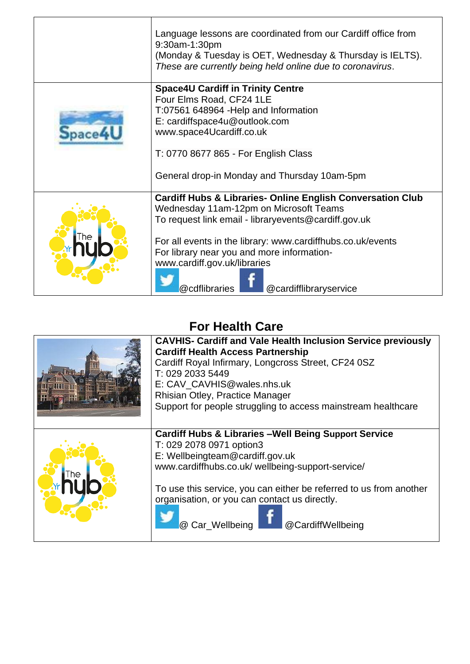| Language lessons are coordinated from our Cardiff office from<br>9:30am-1:30pm<br>(Monday & Tuesday is OET, Wednesday & Thursday is IELTS).<br>These are currently being held online due to coronavirus.                                                                                                                                                        |
|-----------------------------------------------------------------------------------------------------------------------------------------------------------------------------------------------------------------------------------------------------------------------------------------------------------------------------------------------------------------|
| <b>Space4U Cardiff in Trinity Centre</b><br>Four Elms Road, CF24 1LE<br>T:07561 648964 - Help and Information<br>E: cardiffspace4u@outlook.com<br>www.space4Ucardiff.co.uk<br>T: 0770 8677 865 - For English Class<br>General drop-in Monday and Thursday 10am-5pm                                                                                              |
| <b>Cardiff Hubs &amp; Libraries- Online English Conversation Club</b><br>Wednesday 11am-12pm on Microsoft Teams<br>To request link email - libraryevents@cardiff.gov.uk<br>For all events in the library: www.cardiffhubs.co.uk/events<br>For library near you and more information-<br>www.cardiff.gov.uk/libraries<br>@cdflibraries<br>@cardifflibraryservice |

### **For Health Care**

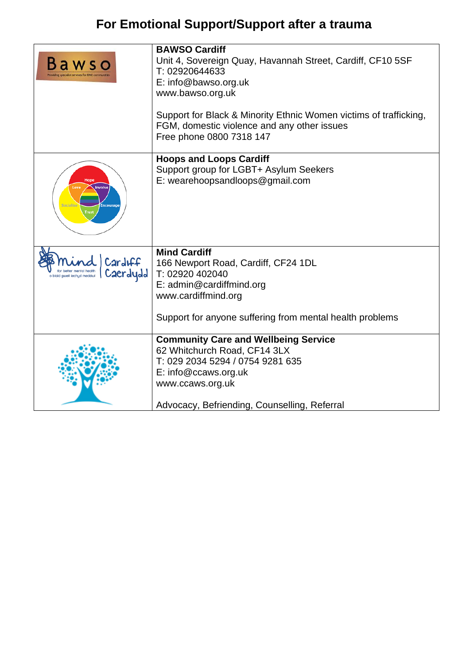# **For Emotional Support/Support after a trauma**

|                                                                              | <b>BAWSO Cardiff</b><br>Unit 4, Sovereign Quay, Havannah Street, Cardiff, CF10 5SF<br>T: 02920644633<br>E: info@bawso.org.uk<br>www.bawso.org.uk<br>Support for Black & Minority Ethnic Women victims of trafficking,<br>FGM, domestic violence and any other issues<br>Free phone 0800 7318 147 |
|------------------------------------------------------------------------------|--------------------------------------------------------------------------------------------------------------------------------------------------------------------------------------------------------------------------------------------------------------------------------------------------|
| Hope<br><b>Involve</b><br>ncourage                                           | <b>Hoops and Loops Cardiff</b><br>Support group for LGBT+ Asylum Seekers<br>E: wearehoopsandloops@gmail.com                                                                                                                                                                                      |
| CardIFF<br>for better mental health<br>Caerdydd<br>blaid gwell iechyd meddwl | <b>Mind Cardiff</b><br>166 Newport Road, Cardiff, CF24 1DL<br>T: 02920 402040<br>E: admin@cardiffmind.org<br>www.cardiffmind.org<br>Support for anyone suffering from mental health problems                                                                                                     |
|                                                                              | <b>Community Care and Wellbeing Service</b><br>62 Whitchurch Road, CF14 3LX<br>T: 029 2034 5294 / 0754 9281 635<br>E: info@ccaws.org.uk<br>www.ccaws.org.uk<br>Advocacy, Befriending, Counselling, Referral                                                                                      |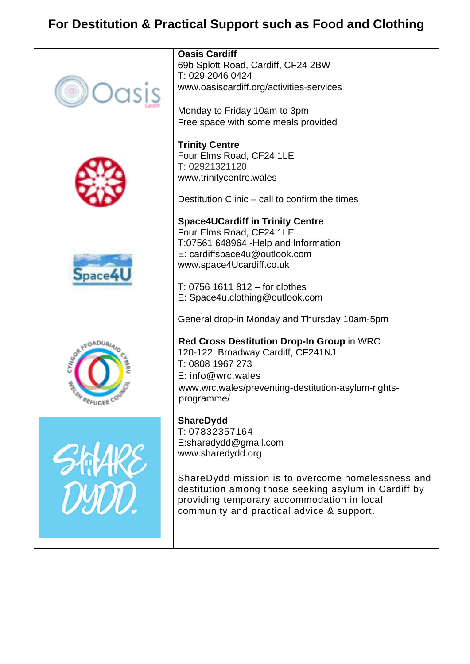## **For Destitution & Practical Support such as Food and Clothing**

|                     | <b>Oasis Cardiff</b><br>69b Splott Road, Cardiff, CF24 2BW<br>T: 029 2046 0424<br>www.oasiscardiff.org/activities-services<br>Monday to Friday 10am to 3pm<br>Free space with some meals provided                                                                                                |
|---------------------|--------------------------------------------------------------------------------------------------------------------------------------------------------------------------------------------------------------------------------------------------------------------------------------------------|
|                     | <b>Trinity Centre</b><br>Four Elms Road, CF24 1LE<br>T: 02921321120<br>www.trinitycentre.wales<br>Destitution Clinic – call to confirm the times                                                                                                                                                 |
| pace                | <b>Space4UCardiff in Trinity Centre</b><br>Four Elms Road, CF24 1LE<br>T:07561 648964 - Help and Information<br>E: cardiffspace4u@outlook.com<br>www.space4Ucardiff.co.uk<br>$T: 0756$ 1611 812 – for clothes<br>E: Space4u.clothing@outlook.com<br>General drop-in Monday and Thursday 10am-5pm |
| <b>SOR FFOADUA</b>  | Red Cross Destitution Drop-In Group in WRC<br>120-122, Broadway Cardiff, CF241NJ<br>T: 0808 1967 273<br>E: info@wrc.wales<br>www.wrc.wales/preventing-destitution-asylum-rights-<br>programme/                                                                                                   |
| SATAK<br><b>UMD</b> | <b>ShareDydd</b><br>T: 07832357164<br>E:sharedydd@gmail.com<br>www.sharedydd.org<br>ShareDydd mission is to overcome homelessness and<br>destitution among those seeking asylum in Cardiff by<br>providing temporary accommodation in local<br>community and practical advice & support.         |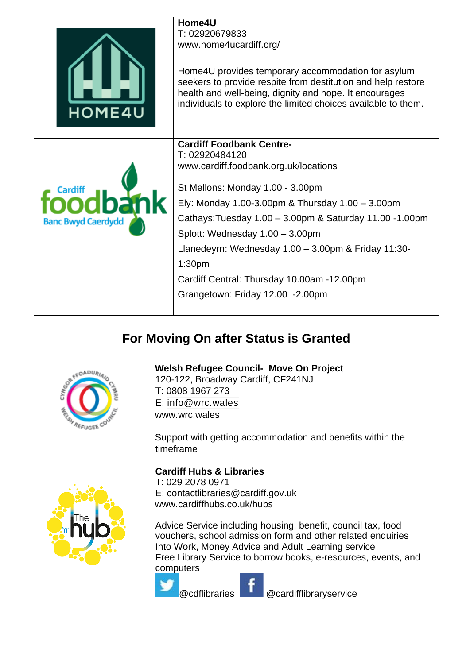| <b>HOME4U</b>             | Home4U<br>T: 02920679833<br>www.home4ucardiff.org/<br>Home4U provides temporary accommodation for asylum<br>seekers to provide respite from destitution and help restore<br>health and well-being, dignity and hope. It encourages<br>individuals to explore the limited choices available to them.                                                                                                                                              |
|---------------------------|--------------------------------------------------------------------------------------------------------------------------------------------------------------------------------------------------------------------------------------------------------------------------------------------------------------------------------------------------------------------------------------------------------------------------------------------------|
| <b>Banc Bwyd Caerdydd</b> | <b>Cardiff Foodbank Centre-</b><br>T: 02920484120<br>www.cardiff.foodbank.org.uk/locations<br>St Mellons: Monday 1.00 - 3.00pm<br>Ely: Monday 1.00-3.00pm & Thursday 1.00 - 3.00pm<br>Cathays: Tuesday 1.00 - 3.00pm & Saturday 11.00 - 1.00pm<br>Splott: Wednesday 1.00 - 3.00pm<br>Llanedeyrn: Wednesday 1.00 - 3.00pm & Friday 11:30-<br>1:30 <sub>pm</sub><br>Cardiff Central: Thursday 10.00am -12.00pm<br>Grangetown: Friday 12.00 -2.00pm |

# **For Moving On after Status is Granted**

| <b>REFUGEE</b> | <b>Welsh Refugee Council- Move On Project</b><br>120-122, Broadway Cardiff, CF241NJ |
|----------------|-------------------------------------------------------------------------------------|
|                | T: 0808 1967 273                                                                    |
|                | E: info@wrc.wales                                                                   |
|                | www.wrc.wales                                                                       |
|                | Support with getting accommodation and benefits within the                          |
|                | timeframe                                                                           |
|                | <b>Cardiff Hubs &amp; Libraries</b>                                                 |
|                | T: 029 2078 0971                                                                    |
|                | E: contactlibraries@cardiff.gov.uk                                                  |
|                | www.cardiffhubs.co.uk/hubs                                                          |
|                | Advice Service including housing, benefit, council tax, food                        |
|                | vouchers, school admission form and other related enquiries                         |
|                | Into Work, Money Advice and Adult Learning service                                  |
|                | Free Library Service to borrow books, e-resources, events, and                      |
|                | computers                                                                           |
|                |                                                                                     |
|                | @cdflibraries<br>@cardifflibraryservice                                             |
|                |                                                                                     |